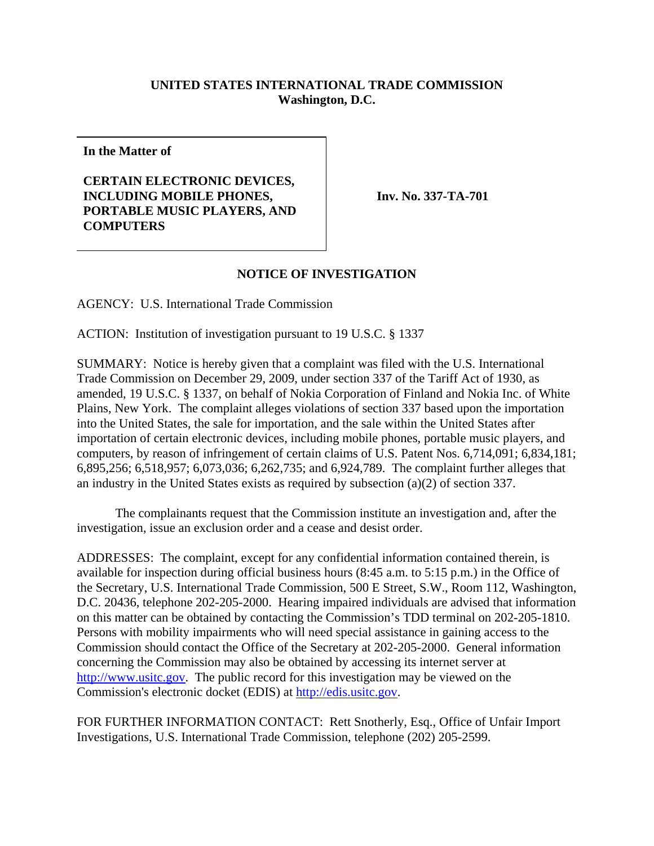## **UNITED STATES INTERNATIONAL TRADE COMMISSION Washington, D.C.**

**In the Matter of**

## **CERTAIN ELECTRONIC DEVICES, INCLUDING MOBILE PHONES, PORTABLE MUSIC PLAYERS, AND COMPUTERS**

**Inv. No. 337-TA-701**

## **NOTICE OF INVESTIGATION**

AGENCY: U.S. International Trade Commission

ACTION: Institution of investigation pursuant to 19 U.S.C. § 1337

SUMMARY: Notice is hereby given that a complaint was filed with the U.S. International Trade Commission on December 29, 2009, under section 337 of the Tariff Act of 1930, as amended, 19 U.S.C. § 1337, on behalf of Nokia Corporation of Finland and Nokia Inc. of White Plains, New York. The complaint alleges violations of section 337 based upon the importation into the United States, the sale for importation, and the sale within the United States after importation of certain electronic devices, including mobile phones, portable music players, and computers, by reason of infringement of certain claims of U.S. Patent Nos. 6,714,091; 6,834,181; 6,895,256; 6,518,957; 6,073,036; 6,262,735; and 6,924,789. The complaint further alleges that an industry in the United States exists as required by subsection (a)(2) of section 337.

The complainants request that the Commission institute an investigation and, after the investigation, issue an exclusion order and a cease and desist order.

ADDRESSES: The complaint, except for any confidential information contained therein, is available for inspection during official business hours (8:45 a.m. to 5:15 p.m.) in the Office of the Secretary, U.S. International Trade Commission, 500 E Street, S.W., Room 112, Washington, D.C. 20436, telephone 202-205-2000. Hearing impaired individuals are advised that information on this matter can be obtained by contacting the Commission's TDD terminal on 202-205-1810. Persons with mobility impairments who will need special assistance in gaining access to the Commission should contact the Office of the Secretary at 202-205-2000. General information concerning the Commission may also be obtained by accessing its internet server at http://www.usitc.gov. The public record for this investigation may be viewed on the Commission's electronic docket (EDIS) at http://edis.usitc.gov.

FOR FURTHER INFORMATION CONTACT: Rett Snotherly, Esq., Office of Unfair Import Investigations, U.S. International Trade Commission, telephone (202) 205-2599.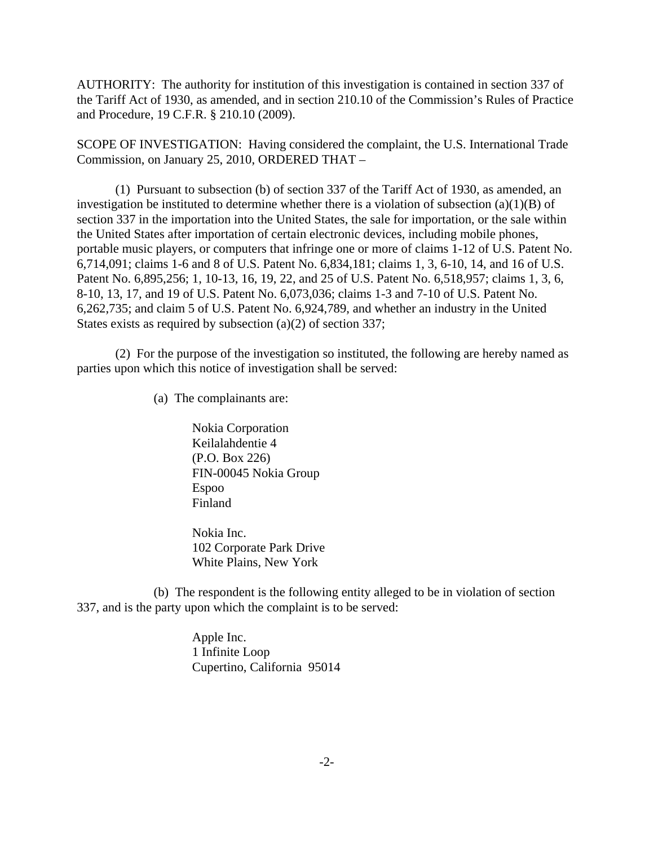AUTHORITY: The authority for institution of this investigation is contained in section 337 of the Tariff Act of 1930, as amended, and in section 210.10 of the Commission's Rules of Practice and Procedure, 19 C.F.R. § 210.10 (2009).

SCOPE OF INVESTIGATION: Having considered the complaint, the U.S. International Trade Commission, on January 25, 2010, ORDERED THAT –

(1) Pursuant to subsection (b) of section 337 of the Tariff Act of 1930, as amended, an investigation be instituted to determine whether there is a violation of subsection  $(a)(1)(B)$  of section 337 in the importation into the United States, the sale for importation, or the sale within the United States after importation of certain electronic devices, including mobile phones, portable music players, or computers that infringe one or more of claims 1-12 of U.S. Patent No. 6,714,091; claims 1-6 and 8 of U.S. Patent No. 6,834,181; claims 1, 3, 6-10, 14, and 16 of U.S. Patent No. 6,895,256; 1, 10-13, 16, 19, 22, and 25 of U.S. Patent No. 6,518,957; claims 1, 3, 6, 8-10, 13, 17, and 19 of U.S. Patent No. 6,073,036; claims 1-3 and 7-10 of U.S. Patent No. 6,262,735; and claim 5 of U.S. Patent No. 6,924,789, and whether an industry in the United States exists as required by subsection (a)(2) of section 337;

(2) For the purpose of the investigation so instituted, the following are hereby named as parties upon which this notice of investigation shall be served:

(a) The complainants are:

Nokia Corporation Keilalahdentie 4 (P.O. Box 226) FIN-00045 Nokia Group Espoo Finland

Nokia Inc. 102 Corporate Park Drive White Plains, New York

(b) The respondent is the following entity alleged to be in violation of section 337, and is the party upon which the complaint is to be served:

> Apple Inc. 1 Infinite Loop Cupertino, California 95014